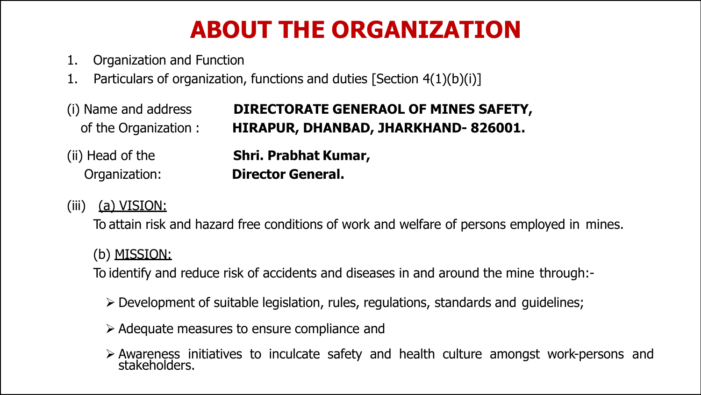# **ABOUT THE ORGANIZATION**

- 1. Organization and Function
- 1. Particulars of organization, functions and duties [Section 4(1)(b)(i)]
- (i) Name and address of the Organization : **DIRECTORATE GENERAOL OF MINES SAFETY, HIRAPUR, DHANBAD, JHARKHAND- 826001.** (ii) Head of the Organization: **Shri. Prabhat Kumar, Director General.**

#### (iii) (a) VISION:

To attain risk and hazard free conditions of work and welfare of persons employed in mines.

#### (b) MISSION:

To identify and reduce risk of accidents and diseases in and around the mine through:-

- Development of suitable legislation, rules, regulations, standards and guidelines;
- $\triangleright$  Adequate measures to ensure compliance and
- Awareness initiatives to inculcate safety and health culture amongst work-persons and stakeholders.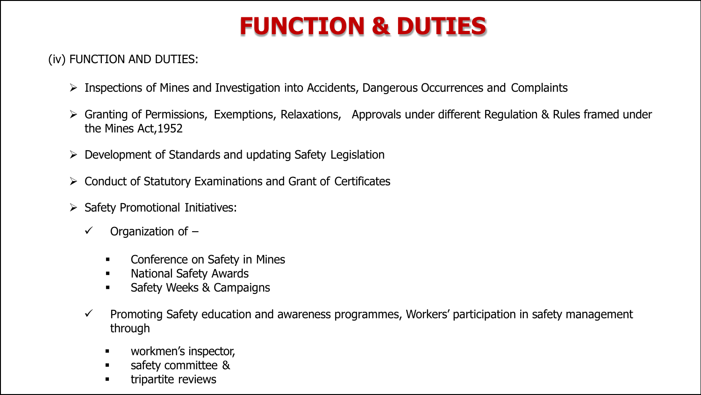# **FUNCTION & DUTIES**

#### (iv) FUNCTION AND DUTIES:

- $\triangleright$  Inspections of Mines and Investigation into Accidents, Dangerous Occurrences and Complaints
- $\triangleright$  Granting of Permissions, Exemptions, Relaxations, Approvals under different Regulation & Rules framed under the Mines Act,1952
- $\triangleright$  Development of Standards and updating Safety Legislation
- $\triangleright$  Conduct of Statutory Examinations and Grant of Certificates
- $\triangleright$  Safety Promotional Initiatives:
	- $\checkmark$  Organization of  $-$ 
		- **•** Conference on Safety in Mines
		- **National Safety Awards**
		- **Safety Weeks & Campaigns**
	- $\checkmark$  Promoting Safety education and awareness programmes, Workers' participation in safety management through
		- **EXECUTE:** Workmen's inspector,
		- safety committee &
		- tripartite reviews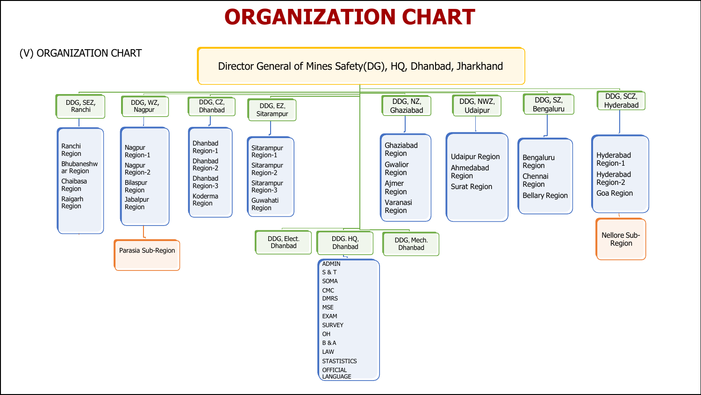### **ORGANIZATION CHART**

(V) ORGANIZATION CHART